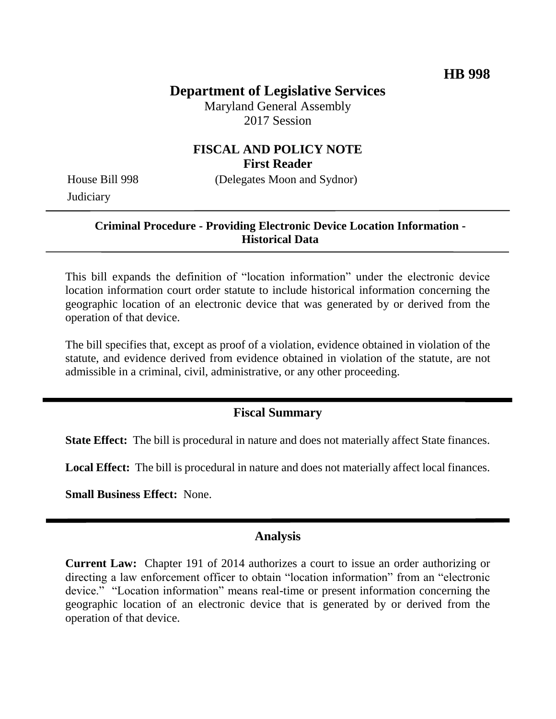# **Department of Legislative Services**

Maryland General Assembly 2017 Session

### **FISCAL AND POLICY NOTE First Reader**

**Judiciary** 

House Bill 998 (Delegates Moon and Sydnor)

#### **Criminal Procedure - Providing Electronic Device Location Information - Historical Data**

This bill expands the definition of "location information" under the electronic device location information court order statute to include historical information concerning the geographic location of an electronic device that was generated by or derived from the operation of that device.

The bill specifies that, except as proof of a violation, evidence obtained in violation of the statute, and evidence derived from evidence obtained in violation of the statute, are not admissible in a criminal, civil, administrative, or any other proceeding.

#### **Fiscal Summary**

**State Effect:** The bill is procedural in nature and does not materially affect State finances.

**Local Effect:** The bill is procedural in nature and does not materially affect local finances.

**Small Business Effect:** None.

#### **Analysis**

**Current Law:** Chapter 191 of 2014 authorizes a court to issue an order authorizing or directing a law enforcement officer to obtain "location information" from an "electronic device." "Location information" means real-time or present information concerning the geographic location of an electronic device that is generated by or derived from the operation of that device.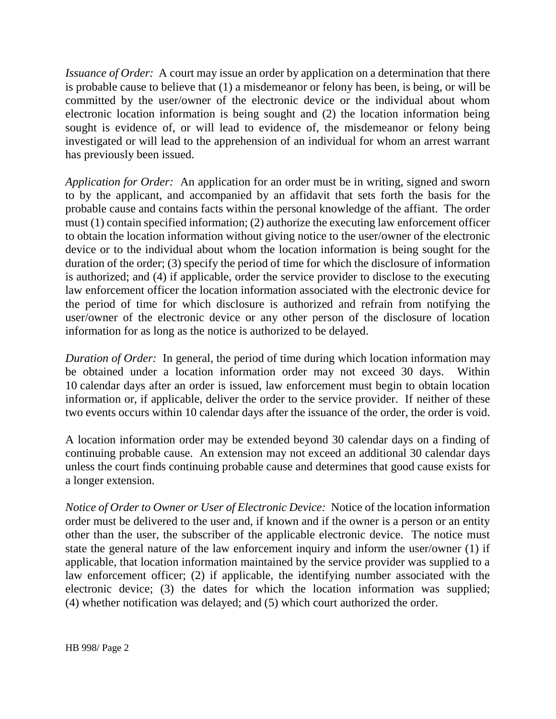*Issuance of Order:* A court may issue an order by application on a determination that there is probable cause to believe that (1) a misdemeanor or felony has been, is being, or will be committed by the user/owner of the electronic device or the individual about whom electronic location information is being sought and (2) the location information being sought is evidence of, or will lead to evidence of, the misdemeanor or felony being investigated or will lead to the apprehension of an individual for whom an arrest warrant has previously been issued.

*Application for Order:* An application for an order must be in writing, signed and sworn to by the applicant, and accompanied by an affidavit that sets forth the basis for the probable cause and contains facts within the personal knowledge of the affiant. The order must (1) contain specified information; (2) authorize the executing law enforcement officer to obtain the location information without giving notice to the user/owner of the electronic device or to the individual about whom the location information is being sought for the duration of the order; (3) specify the period of time for which the disclosure of information is authorized; and (4) if applicable, order the service provider to disclose to the executing law enforcement officer the location information associated with the electronic device for the period of time for which disclosure is authorized and refrain from notifying the user/owner of the electronic device or any other person of the disclosure of location information for as long as the notice is authorized to be delayed.

*Duration of Order:* In general, the period of time during which location information may be obtained under a location information order may not exceed 30 days. Within 10 calendar days after an order is issued, law enforcement must begin to obtain location information or, if applicable, deliver the order to the service provider. If neither of these two events occurs within 10 calendar days after the issuance of the order, the order is void.

A location information order may be extended beyond 30 calendar days on a finding of continuing probable cause. An extension may not exceed an additional 30 calendar days unless the court finds continuing probable cause and determines that good cause exists for a longer extension.

*Notice of Order to Owner or User of Electronic Device:* Notice of the location information order must be delivered to the user and, if known and if the owner is a person or an entity other than the user, the subscriber of the applicable electronic device. The notice must state the general nature of the law enforcement inquiry and inform the user/owner (1) if applicable, that location information maintained by the service provider was supplied to a law enforcement officer; (2) if applicable, the identifying number associated with the electronic device; (3) the dates for which the location information was supplied; (4) whether notification was delayed; and (5) which court authorized the order.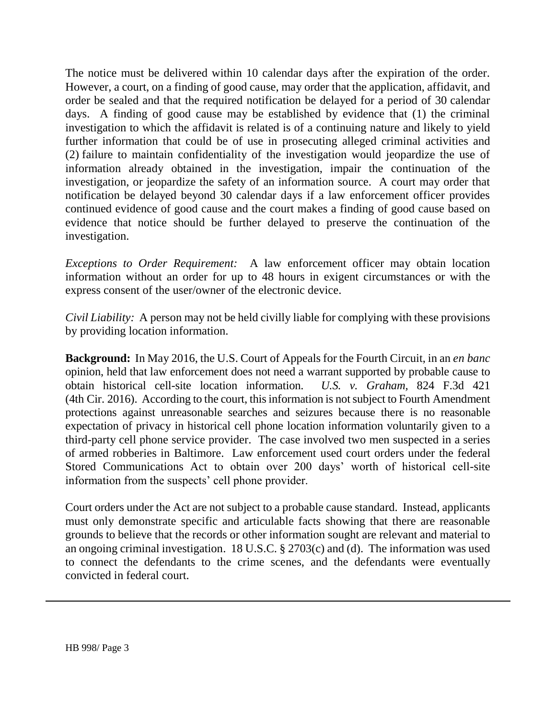The notice must be delivered within 10 calendar days after the expiration of the order. However, a court, on a finding of good cause, may order that the application, affidavit, and order be sealed and that the required notification be delayed for a period of 30 calendar days. A finding of good cause may be established by evidence that (1) the criminal investigation to which the affidavit is related is of a continuing nature and likely to yield further information that could be of use in prosecuting alleged criminal activities and (2) failure to maintain confidentiality of the investigation would jeopardize the use of information already obtained in the investigation, impair the continuation of the investigation, or jeopardize the safety of an information source. A court may order that notification be delayed beyond 30 calendar days if a law enforcement officer provides continued evidence of good cause and the court makes a finding of good cause based on evidence that notice should be further delayed to preserve the continuation of the investigation.

*Exceptions to Order Requirement:* A law enforcement officer may obtain location information without an order for up to 48 hours in exigent circumstances or with the express consent of the user/owner of the electronic device.

*Civil Liability:* A person may not be held civilly liable for complying with these provisions by providing location information.

**Background:** In May 2016, the U.S. Court of Appeals for the Fourth Circuit, in an *en banc*  opinion, held that law enforcement does not need a warrant supported by probable cause to obtain historical cell-site location information. *U.S. v. Graham,* 824 F.3d 421 (4th Cir. 2016). According to the court, this information is not subject to Fourth Amendment protections against unreasonable searches and seizures because there is no reasonable expectation of privacy in historical cell phone location information voluntarily given to a third-party cell phone service provider. The case involved two men suspected in a series of armed robberies in Baltimore. Law enforcement used court orders under the federal Stored Communications Act to obtain over 200 days' worth of historical cell-site information from the suspects' cell phone provider.

Court orders under the Act are not subject to a probable cause standard. Instead, applicants must only demonstrate specific and articulable facts showing that there are reasonable grounds to believe that the records or other information sought are relevant and material to an ongoing criminal investigation. 18 U.S.C. § 2703(c) and (d). The information was used to connect the defendants to the crime scenes, and the defendants were eventually convicted in federal court.